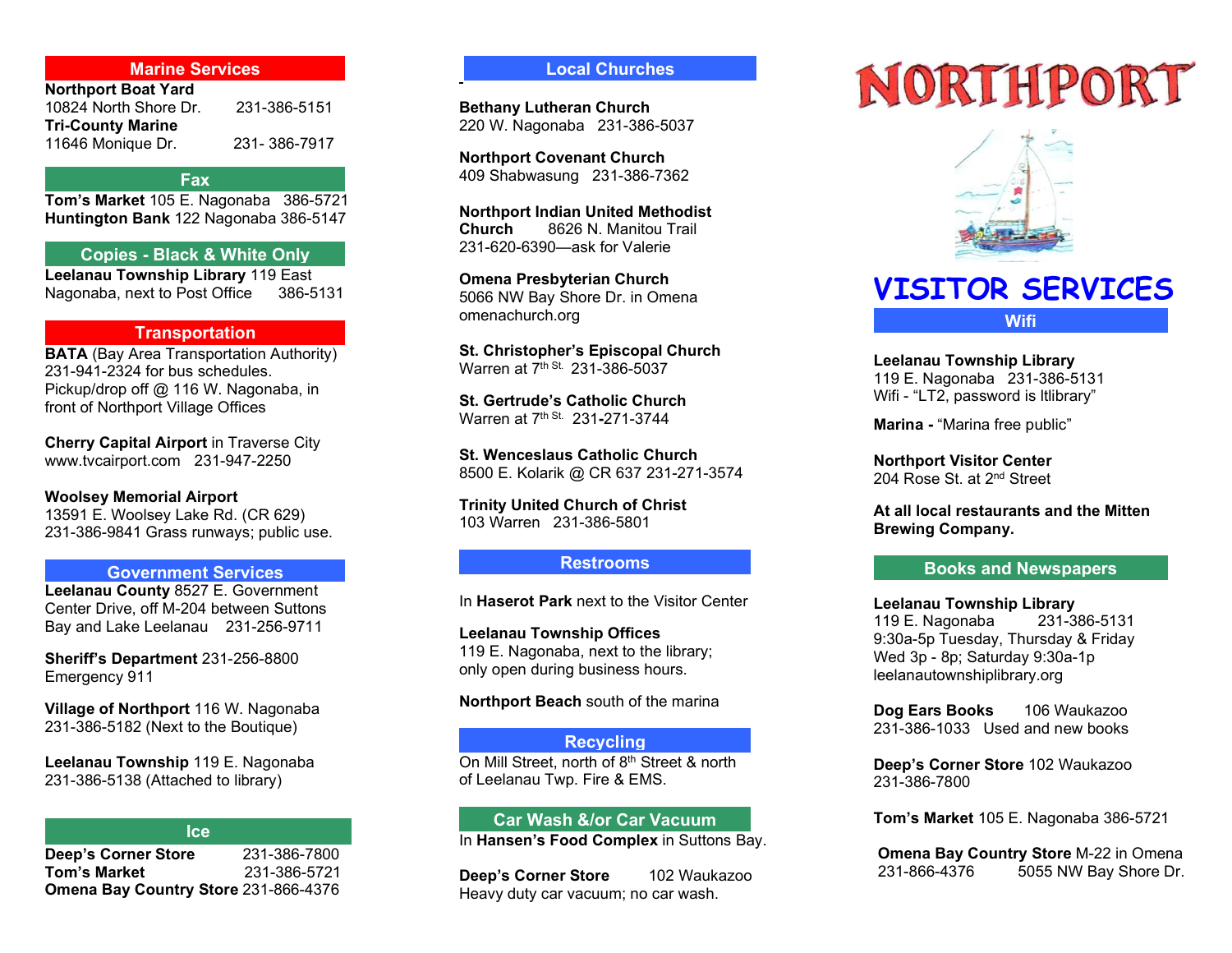# Marine Services

| 231-386-5151 |
|--------------|
|              |
| 231-386-7917 |
|              |

#### Fax

Tom's Market 105 E. Nagonaba 386-5721 Huntington Bank 122 Nagonaba 386-5147

# Copies - Black & White Only

Leelanau Township Library 119 East Nagonaba, next to Post Office 386-5131

# **Transportation**

BATA (Bay Area Transportation Authority) 231-941-2324 for bus schedules. Pickup/drop off @ 116 W. Nagonaba, in front of Northport Village Offices

Cherry Capital Airport in Traverse City www.tvcairport.com 231-947-2250

Woolsey Memorial Airport 13591 E. Woolsey Lake Rd. (CR 629) 231-386-9841 Grass runways; public use.

# Government Services

Leelanau County 8527 E. Government Center Drive, off M-204 between Suttons Bay and Lake Leelanau 231-256-9711

Sheriff's Department 231-256-8800 Emergency 911

Village of Northport 116 W. Nagonaba 231-386-5182 (Next to the Boutique)

Leelanau Township 119 E. Nagonaba 231-386-5138 (Attached to library)

#### **Ice**

Deep's Corner Store 231-386-7800 **Tom's Market 231-386-5721** Omena Bay Country Store 231-866-4376

# Local Churches

Bethany Lutheran Church 220 W. Nagonaba 231-386-5037

Northport Covenant Church 409 Shabwasung 231-386-7362

Northport Indian United Methodist Church 8626 N. Manitou Trail 231-620-6390—ask for Valerie

Omena Presbyterian Church 5066 NW Bay Shore Dr. in Omena omenachurch.org

St. Christopher's Episcopal Church Warren at 7<sup>th St.</sup> 231-386-5037

St. Gertrude's Catholic Church Warren at 7th St. 231-271-3744

St. Wenceslaus Catholic Church 8500 E. Kolarik @ CR 637 231-271-3574

Trinity United Church of Christ 103 Warren 231-386-5801

# Restrooms

In Haserot Park next to the Visitor Center

Leelanau Township Offices 119 E. Nagonaba, next to the library; only open during business hours.

Northport Beach south of the marina

# **Recycling**

On Mill Street, north of 8<sup>th</sup> Street & north of Leelanau Twp. Fire & EMS.

# Car Wash &/or Car Vacuum

In Hansen's Food Complex in Suttons Bay.

Deep's Corner Store 102 Waukazoo Heavy duty car vacuum; no car wash.

# NORTHPORT



# VISITOR SERVICES **Wifi**

Leelanau Township Library 119 E. Nagonaba 231-386-5131 Wifi - "LT2, password is ltlibrary"

Marina - "Marina free public"

Northport Visitor Center 204 Rose St. at 2<sup>nd</sup> Street

At all local restaurants and the Mitten Brewing Company.

# Books and Newspapers

Leelanau Township Library 119 E. Nagonaba 231-386-5131 9:30a-5p Tuesday, Thursday & Friday Wed 3p - 8p; Saturday 9:30a-1p leelanautownshiplibrary.org

Dog Ears Books 106 Waukazoo 231-386-1033 Used and new books

Deep's Corner Store 102 Waukazoo 231-386-7800

Tom's Market 105 E. Nagonaba 386-5721

Omena Bay Country Store M-22 in Omena 231-866-4376 5055 NW Bay Shore Dr.